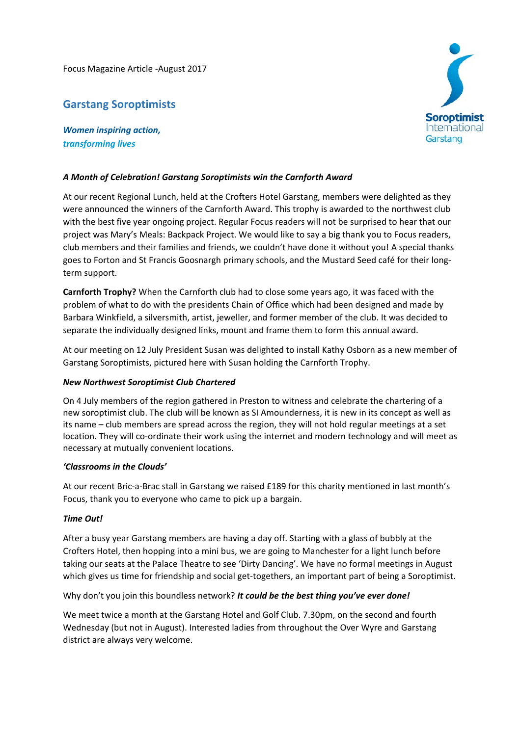Focus Magazine Article ‐August 2017

# **Garstang Soroptimists**

*Women inspiring action, transforming lives*

#### *A Month of Celebration! Garstang Soroptimists win the Carnforth Award*

At our recent Regional Lunch, held at the Crofters Hotel Garstang, members were delighted as they were announced the winners of the Carnforth Award. This trophy is awarded to the northwest club with the best five year ongoing project. Regular Focus readers will not be surprised to hear that our project was Mary's Meals: Backpack Project. We would like to say a big thank you to Focus readers, club members and their families and friends, we couldn't have done it without you! A special thanks goes to Forton and St Francis Goosnargh primary schools, and the Mustard Seed café for their long‐ term support.

**Carnforth Trophy?** When the Carnforth club had to close some years ago, it was faced with the problem of what to do with the presidents Chain of Office which had been designed and made by Barbara Winkfield, a silversmith, artist, jeweller, and former member of the club. It was decided to separate the individually designed links, mount and frame them to form this annual award.

At our meeting on 12 July President Susan was delighted to install Kathy Osborn as a new member of Garstang Soroptimists, pictured here with Susan holding the Carnforth Trophy.

#### *New Northwest Soroptimist Club Chartered*

On 4 July members of the region gathered in Preston to witness and celebrate the chartering of a new soroptimist club. The club will be known as SI Amounderness, it is new in its concept as well as its name – club members are spread across the region, they will not hold regular meetings at a set location. They will co‐ordinate their work using the internet and modern technology and will meet as necessary at mutually convenient locations.

## *'Classrooms in the Clouds'*

At our recent Bric‐a‐Brac stall in Garstang we raised £189 for this charity mentioned in last month's Focus, thank you to everyone who came to pick up a bargain.

## *Time Out!*

After a busy year Garstang members are having a day off. Starting with a glass of bubbly at the Crofters Hotel, then hopping into a mini bus, we are going to Manchester for a light lunch before taking our seats at the Palace Theatre to see 'Dirty Dancing'. We have no formal meetings in August which gives us time for friendship and social get-togethers, an important part of being a Soroptimist.

## Why don't you join this boundless network? *It could be the best thing you've ever done!*

We meet twice a month at the Garstang Hotel and Golf Club. 7.30pm, on the second and fourth Wednesday (but not in August). Interested ladies from throughout the Over Wyre and Garstang district are always very welcome.